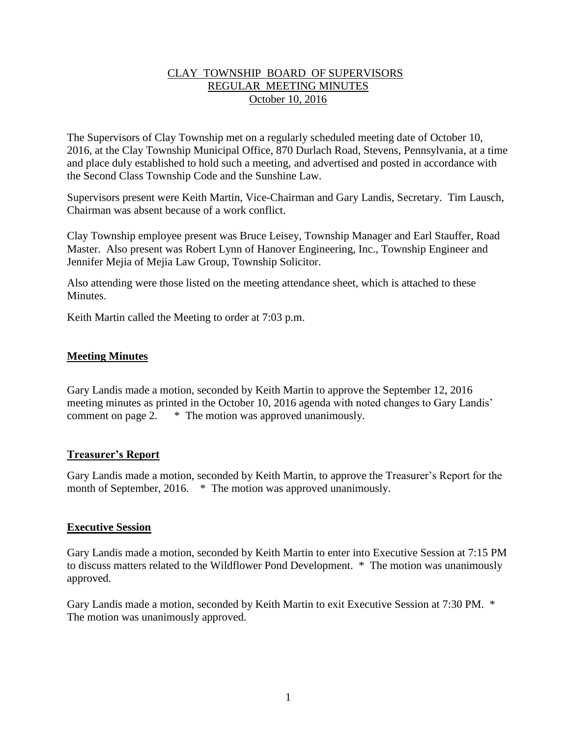## CLAY TOWNSHIP BOARD OF SUPERVISORS REGULAR MEETING MINUTES October 10, 2016

The Supervisors of Clay Township met on a regularly scheduled meeting date of October 10, 2016, at the Clay Township Municipal Office, 870 Durlach Road, Stevens, Pennsylvania, at a time and place duly established to hold such a meeting, and advertised and posted in accordance with the Second Class Township Code and the Sunshine Law.

Supervisors present were Keith Martin, Vice-Chairman and Gary Landis, Secretary. Tim Lausch, Chairman was absent because of a work conflict.

Clay Township employee present was Bruce Leisey, Township Manager and Earl Stauffer, Road Master. Also present was Robert Lynn of Hanover Engineering, Inc., Township Engineer and Jennifer Mejia of Mejia Law Group, Township Solicitor.

Also attending were those listed on the meeting attendance sheet, which is attached to these **Minutes** 

Keith Martin called the Meeting to order at 7:03 p.m.

### **Meeting Minutes**

Gary Landis made a motion, seconded by Keith Martin to approve the September 12, 2016 meeting minutes as printed in the October 10, 2016 agenda with noted changes to Gary Landis' comment on page 2. \* The motion was approved unanimously.

### **Treasurer's Report**

Gary Landis made a motion, seconded by Keith Martin, to approve the Treasurer's Report for the month of September, 2016. \* The motion was approved unanimously.

### **Executive Session**

Gary Landis made a motion, seconded by Keith Martin to enter into Executive Session at 7:15 PM to discuss matters related to the Wildflower Pond Development. \* The motion was unanimously approved.

Gary Landis made a motion, seconded by Keith Martin to exit Executive Session at 7:30 PM. \* The motion was unanimously approved.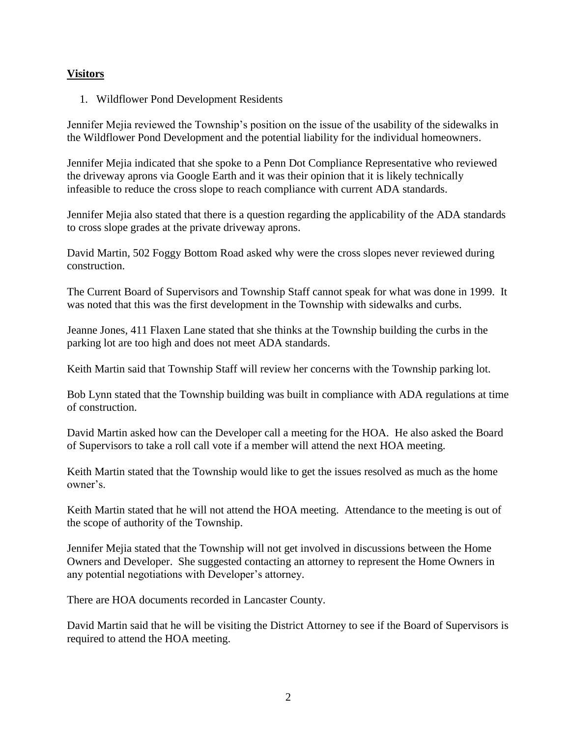## **Visitors**

1. Wildflower Pond Development Residents

Jennifer Mejia reviewed the Township's position on the issue of the usability of the sidewalks in the Wildflower Pond Development and the potential liability for the individual homeowners.

Jennifer Mejia indicated that she spoke to a Penn Dot Compliance Representative who reviewed the driveway aprons via Google Earth and it was their opinion that it is likely technically infeasible to reduce the cross slope to reach compliance with current ADA standards.

Jennifer Mejia also stated that there is a question regarding the applicability of the ADA standards to cross slope grades at the private driveway aprons.

David Martin, 502 Foggy Bottom Road asked why were the cross slopes never reviewed during construction.

The Current Board of Supervisors and Township Staff cannot speak for what was done in 1999. It was noted that this was the first development in the Township with sidewalks and curbs.

Jeanne Jones, 411 Flaxen Lane stated that she thinks at the Township building the curbs in the parking lot are too high and does not meet ADA standards.

Keith Martin said that Township Staff will review her concerns with the Township parking lot.

Bob Lynn stated that the Township building was built in compliance with ADA regulations at time of construction.

David Martin asked how can the Developer call a meeting for the HOA. He also asked the Board of Supervisors to take a roll call vote if a member will attend the next HOA meeting.

Keith Martin stated that the Township would like to get the issues resolved as much as the home owner's.

Keith Martin stated that he will not attend the HOA meeting. Attendance to the meeting is out of the scope of authority of the Township.

Jennifer Mejia stated that the Township will not get involved in discussions between the Home Owners and Developer. She suggested contacting an attorney to represent the Home Owners in any potential negotiations with Developer's attorney.

There are HOA documents recorded in Lancaster County.

David Martin said that he will be visiting the District Attorney to see if the Board of Supervisors is required to attend the HOA meeting.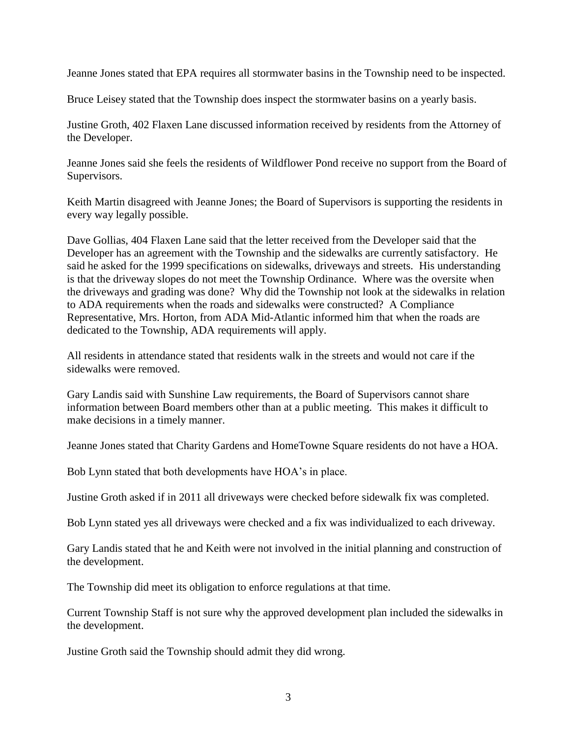Jeanne Jones stated that EPA requires all stormwater basins in the Township need to be inspected.

Bruce Leisey stated that the Township does inspect the stormwater basins on a yearly basis.

Justine Groth, 402 Flaxen Lane discussed information received by residents from the Attorney of the Developer.

Jeanne Jones said she feels the residents of Wildflower Pond receive no support from the Board of Supervisors.

Keith Martin disagreed with Jeanne Jones; the Board of Supervisors is supporting the residents in every way legally possible.

Dave Gollias, 404 Flaxen Lane said that the letter received from the Developer said that the Developer has an agreement with the Township and the sidewalks are currently satisfactory. He said he asked for the 1999 specifications on sidewalks, driveways and streets. His understanding is that the driveway slopes do not meet the Township Ordinance. Where was the oversite when the driveways and grading was done? Why did the Township not look at the sidewalks in relation to ADA requirements when the roads and sidewalks were constructed? A Compliance Representative, Mrs. Horton, from ADA Mid-Atlantic informed him that when the roads are dedicated to the Township, ADA requirements will apply.

All residents in attendance stated that residents walk in the streets and would not care if the sidewalks were removed.

Gary Landis said with Sunshine Law requirements, the Board of Supervisors cannot share information between Board members other than at a public meeting. This makes it difficult to make decisions in a timely manner.

Jeanne Jones stated that Charity Gardens and HomeTowne Square residents do not have a HOA.

Bob Lynn stated that both developments have HOA's in place.

Justine Groth asked if in 2011 all driveways were checked before sidewalk fix was completed.

Bob Lynn stated yes all driveways were checked and a fix was individualized to each driveway.

Gary Landis stated that he and Keith were not involved in the initial planning and construction of the development.

The Township did meet its obligation to enforce regulations at that time.

Current Township Staff is not sure why the approved development plan included the sidewalks in the development.

Justine Groth said the Township should admit they did wrong.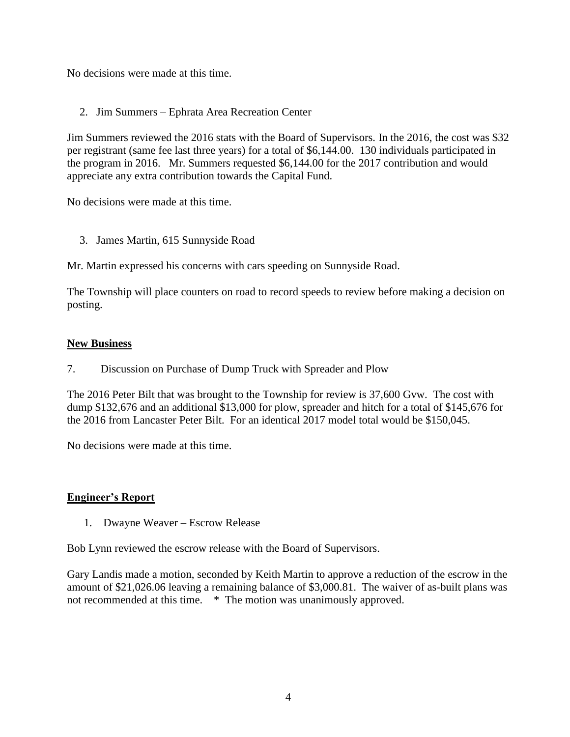No decisions were made at this time.

2. Jim Summers – Ephrata Area Recreation Center

Jim Summers reviewed the 2016 stats with the Board of Supervisors. In the 2016, the cost was \$32 per registrant (same fee last three years) for a total of \$6,144.00. 130 individuals participated in the program in 2016. Mr. Summers requested \$6,144.00 for the 2017 contribution and would appreciate any extra contribution towards the Capital Fund.

No decisions were made at this time.

3. James Martin, 615 Sunnyside Road

Mr. Martin expressed his concerns with cars speeding on Sunnyside Road.

The Township will place counters on road to record speeds to review before making a decision on posting.

## **New Business**

7. Discussion on Purchase of Dump Truck with Spreader and Plow

The 2016 Peter Bilt that was brought to the Township for review is 37,600 Gvw. The cost with dump \$132,676 and an additional \$13,000 for plow, spreader and hitch for a total of \$145,676 for the 2016 from Lancaster Peter Bilt. For an identical 2017 model total would be \$150,045.

No decisions were made at this time.

## **Engineer's Report**

1. Dwayne Weaver – Escrow Release

Bob Lynn reviewed the escrow release with the Board of Supervisors.

Gary Landis made a motion, seconded by Keith Martin to approve a reduction of the escrow in the amount of \$21,026.06 leaving a remaining balance of \$3,000.81. The waiver of as-built plans was not recommended at this time. \* The motion was unanimously approved.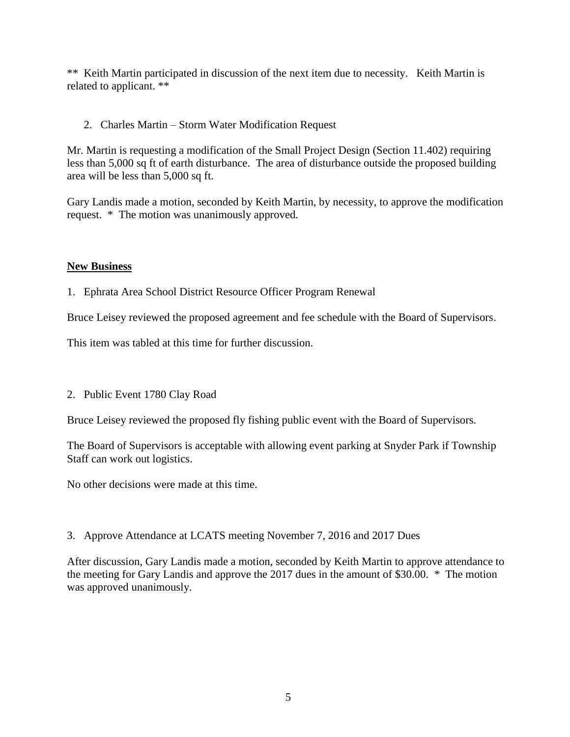\*\* Keith Martin participated in discussion of the next item due to necessity. Keith Martin is related to applicant. \*\*

2. Charles Martin – Storm Water Modification Request

Mr. Martin is requesting a modification of the Small Project Design (Section 11.402) requiring less than 5,000 sq ft of earth disturbance. The area of disturbance outside the proposed building area will be less than 5,000 sq ft.

Gary Landis made a motion, seconded by Keith Martin, by necessity, to approve the modification request. \* The motion was unanimously approved.

## **New Business**

1. Ephrata Area School District Resource Officer Program Renewal

Bruce Leisey reviewed the proposed agreement and fee schedule with the Board of Supervisors.

This item was tabled at this time for further discussion.

## 2. Public Event 1780 Clay Road

Bruce Leisey reviewed the proposed fly fishing public event with the Board of Supervisors.

The Board of Supervisors is acceptable with allowing event parking at Snyder Park if Township Staff can work out logistics.

No other decisions were made at this time.

3. Approve Attendance at LCATS meeting November 7, 2016 and 2017 Dues

After discussion, Gary Landis made a motion, seconded by Keith Martin to approve attendance to the meeting for Gary Landis and approve the 2017 dues in the amount of \$30.00. \* The motion was approved unanimously.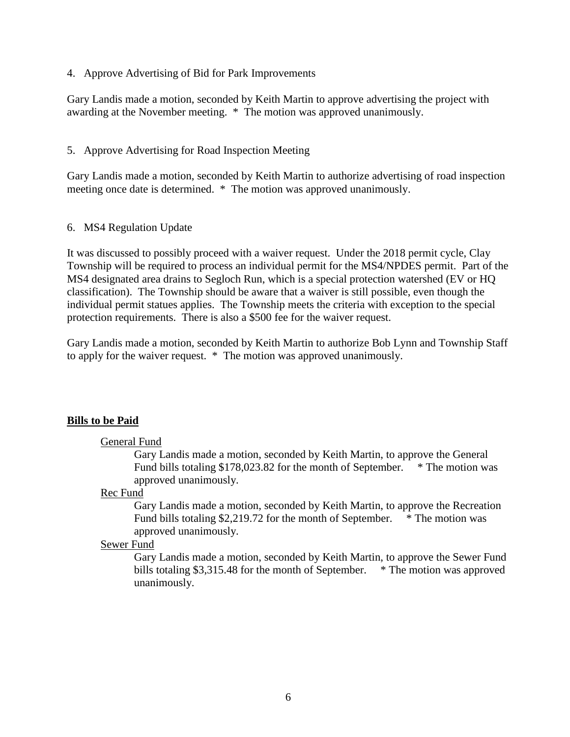4. Approve Advertising of Bid for Park Improvements

Gary Landis made a motion, seconded by Keith Martin to approve advertising the project with awarding at the November meeting. \* The motion was approved unanimously.

5. Approve Advertising for Road Inspection Meeting

Gary Landis made a motion, seconded by Keith Martin to authorize advertising of road inspection meeting once date is determined. \* The motion was approved unanimously.

#### 6. MS4 Regulation Update

It was discussed to possibly proceed with a waiver request. Under the 2018 permit cycle, Clay Township will be required to process an individual permit for the MS4/NPDES permit. Part of the MS4 designated area drains to Segloch Run, which is a special protection watershed (EV or HQ classification). The Township should be aware that a waiver is still possible, even though the individual permit statues applies. The Township meets the criteria with exception to the special protection requirements. There is also a \$500 fee for the waiver request.

Gary Landis made a motion, seconded by Keith Martin to authorize Bob Lynn and Township Staff to apply for the waiver request. \* The motion was approved unanimously.

### **Bills to be Paid**

#### General Fund

Gary Landis made a motion, seconded by Keith Martin, to approve the General Fund bills totaling \$178,023.82 for the month of September. \* The motion was approved unanimously.

#### Rec Fund

Gary Landis made a motion, seconded by Keith Martin, to approve the Recreation Fund bills totaling \$2,219.72 for the month of September. \* The motion was approved unanimously.

#### Sewer Fund

Gary Landis made a motion, seconded by Keith Martin, to approve the Sewer Fund bills totaling \$3,315.48 for the month of September. \* The motion was approved unanimously.